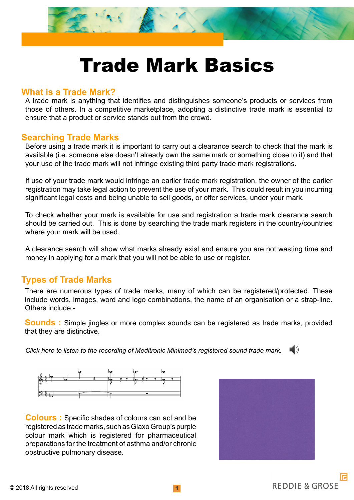

# Trade Mark Basics

#### **What is a Trade Mark?**

A trade mark is anything that identifies and distinguishes someone's products or services from those of others. In a competitive marketplace, adopting a distinctive trade mark is essential to ensure that a product or service stands out from the crowd.

#### **Searching Trade Marks**

Before using a trade mark it is important to carry out a clearance search to check that the mark is available (i.e. someone else doesn't already own the same mark or something close to it) and that your use of the trade mark will not infringe existing third party trade mark registrations.

If use of your trade mark would infringe an earlier trade mark registration, the owner of the earlier registration may take legal action to prevent the use of your mark. This could result in you incurring significant legal costs and being unable to sell goods, or offer services, under your mark.

To check whether your mark is available for use and registration a trade mark clearance search should be carried out. This is done by searching the trade mark registers in the country/countries where your mark will be used.

A clearance search will show what marks already exist and ensure you are not wasting time and money in applying for a mark that you will not be able to use or register.

## **Types of Trade Marks**

There are numerous types of trade marks, many of which can be registered/protected. These include words, images, word and logo combinations, the name of an organisation or a strap-line. Others include:-

**Sounds :** Simple jingles or more complex sounds can be registered as trade marks, provided that they are distinctive.

*Click here to listen to the recording of Meditronic Minimed's registered sound trade mark.*



**Colours :** Specific shades of colours can act and be registered as trade marks, such as Glaxo Group's purple colour mark which is registered for pharmaceutical preparations for the treatment of asthma and/or chronic obstructive pulmonary disease.

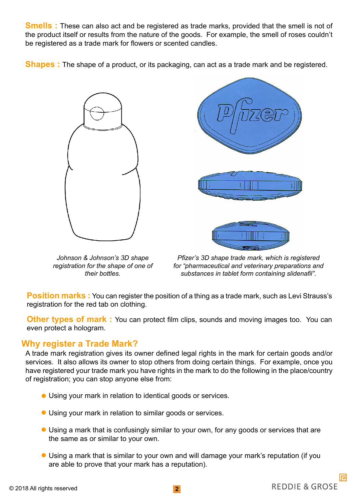**Smells :** These can also act and be registered as trade marks, provided that the smell is not of the product itself or results from the nature of the goods. For example, the smell of roses couldn't be registered as a trade mark for flowers or scented candles.

**Shapes :** The shape of a product, or its packaging, can act as a trade mark and be registered.



*Johnson & Johnson's 3D shape registration for the shape of one of their bottles.* 



*Pfizer's 3D shape trade mark, which is registered for "pharmaceutical and veterinary preparations and substances in tablet form containing slidenafil".*

**Position marks:** You can register the position of a thing as a trade mark, such as Levi Strauss's registration for the red tab on clothing.

**Other types of mark:** You can protect film clips, sounds and moving images too. You can even protect a hologram.

## **Why register a Trade Mark?**

A trade mark registration gives its owner defined legal rights in the mark for certain goods and/or services. It also allows its owner to stop others from doing certain things. For example, once you have registered your trade mark you have rights in the mark to do the following in the place/country of registration; you can stop anyone else from:

- Using your mark in relation to identical goods or services.
- Using your mark in relation to similar goods or services.
- Using a mark that is confusingly similar to your own, for any goods or services that are the same as or similar to your own.
- Using a mark that is similar to your own and will damage your mark's reputation (if you are able to prove that your mark has a reputation).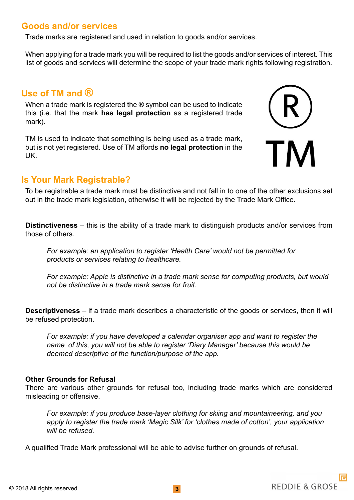# **Goods and/or services**

Trade marks are registered and used in relation to goods and/or services.

When applying for a trade mark you will be required to list the goods and/or services of interest. This list of goods and services will determine the scope of your trade mark rights following registration.

## **Use of TM and ®**

When a trade mark is registered the ® symbol can be used to indicate this (i.e. that the mark **has legal protection** as a registered trade mark).

TM is used to indicate that something is being used as a trade mark, but is not yet registered. Use of TM affords **no legal protection** in the UK.



## **Is Your Mark Registrable?**

To be registrable a trade mark must be distinctive and not fall in to one of the other exclusions set out in the trade mark legislation, otherwise it will be rejected by the Trade Mark Office.

**Distinctiveness** – this is the ability of a trade mark to distinguish products and/or services from those of others.

*For example: an application to register 'Health Care' would not be permitted for products or services relating to healthcare.*

*For example: Apple is distinctive in a trade mark sense for computing products, but would not be distinctive in a trade mark sense for fruit.*

**Descriptiveness** – if a trade mark describes a characteristic of the goods or services, then it will be refused protection.

*For example: if you have developed a calendar organiser app and want to register the name of this, you will not be able to register 'Diary Manager' because this would be deemed descriptive of the function/purpose of the app.*

#### **Other Grounds for Refusal**

There are various other grounds for refusal too, including trade marks which are considered misleading or offensive.

*For example: if you produce base-layer clothing for skiing and mountaineering, and you apply to register the trade mark 'Magic Silk' for 'clothes made of cotton', your application will be refused.*

A qualified Trade Mark professional will be able to advise further on grounds of refusal.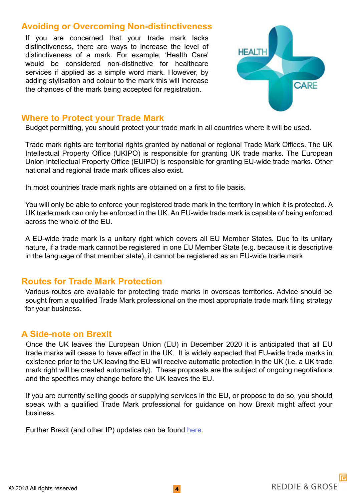## **Avoiding or Overcoming Non-distinctiveness**

If you are concerned that your trade mark lacks distinctiveness, there are ways to increase the level of distinctiveness of a mark. For example, 'Health Care' would be considered non-distinctive for healthcare services if applied as a simple word mark. However, by adding stylisation and colour to the mark this will increase the chances of the mark being accepted for registration.



## **Where to Protect your Trade Mark**

Budget permitting, you should protect your trade mark in all countries where it will be used.

Trade mark rights are territorial rights granted by national or regional Trade Mark Offices. The UK Intellectual Property Office (UKIPO) is responsible for granting UK trade marks. The European Union Intellectual Property Office (EUIPO) is responsible for granting EU-wide trade marks. Other national and regional trade mark offices also exist.

In most countries trade mark rights are obtained on a first to file basis.

You will only be able to enforce your registered trade mark in the territory in which it is protected. A UK trade mark can only be enforced in the UK. An EU-wide trade mark is capable of being enforced across the whole of the EU.

A EU-wide trade mark is a unitary right which covers all EU Member States. Due to its unitary nature, if a trade mark cannot be registered in one EU Member State (e.g. because it is descriptive in the language of that member state), it cannot be registered as an EU-wide trade mark.

## **Routes for Trade Mark Protection**

Various routes are available for protecting trade marks in overseas territories. Advice should be sought from a qualified Trade Mark professional on the most appropriate trade mark filing strategy for your business.

## **A Side-note on Brexit**

Once the UK leaves the European Union (EU) in December 2020 it is anticipated that all EU trade marks will cease to have effect in the UK. It is widely expected that EU-wide trade marks in existence prior to the UK leaving the EU will receive automatic protection in the UK (i.e. a UK trade mark right will be created automatically). These proposals are the subject of ongoing negotiations and the specifics may change before the UK leaves the EU.

If you are currently selling goods or supplying services in the EU, or propose to do so, you should speak with a qualified Trade Mark professional for guidance on how Brexit might affect your business.

Further Brexit (and other IP) updates can be found [here](https://www.reddie.co.uk/insights/).

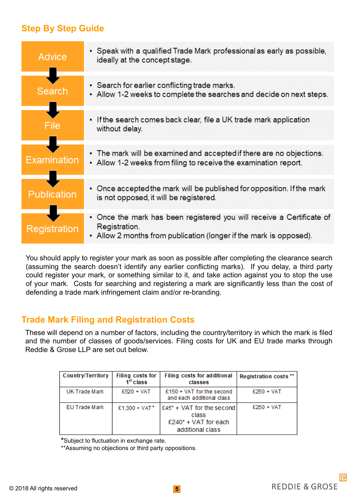# **Step By Step Guide**

| <b>Advice</b>      | • Speak with a qualified Trade Mark professional as early as possible,<br>ideally at the concept stage.                                                      |
|--------------------|--------------------------------------------------------------------------------------------------------------------------------------------------------------|
| Search             | • Search for earlier conflicting trade marks.<br>• Allow 1-2 weeks to complete the searches and decide on next steps.                                        |
|                    | If the search comes back clear, file a UK trade mark application<br>٠<br>without delay.                                                                      |
| Examination        | • The mark will be examined and accepted if there are no objections.<br>• Allow 1-2 weeks from filing to receive the examination report.                     |
| <b>Publication</b> | • Once accepted the mark will be published for opposition. If the mark<br>is not opposed, it will be registered.                                             |
| Registration       | • Once the mark has been registered you will receive a Certificate of<br>Registration.<br>• Allow 2 months from publication (longer if the mark is opposed). |

You should apply to register your mark as soon as possible after completing the clearance search (assuming the search doesn't identify any earlier conflicting marks). If you delay, a third party could register your mark, or something similar to it, and take action against you to stop the use of your mark. Costs for searching and registering a mark are significantly less than the cost of defending a trade mark infringement claim and/or re-branding.

# **Trade Mark Filing and Registration Costs**

These will depend on a number of factors, including the country/territory in which the mark is filed and the number of classes of goods/services. Filing costs for UK and EU trade marks through Reddie & Grose LLP are set out below.

| <b>Country/Territory</b> | Filing costs for<br>1 <sup>et</sup> class | Filing costs for additional<br>classes                                             | Registration costs ** |
|--------------------------|-------------------------------------------|------------------------------------------------------------------------------------|-----------------------|
| UK Trade Mark            | $£520 + VAT$                              | $£150 + VAT$ for the second<br>and each additional class                           | $£250 + VAT$          |
| <b>EU Trade Mark</b>     | £1,300 + VAT*                             | $£45* + VAT$ for the second<br>class<br>$£240* + VAT$ for each<br>additional class | $£250 + VAT$          |

**\***Subject to fluctuation in exchange rate.

\*\*Assuming no objections or third party oppositions.